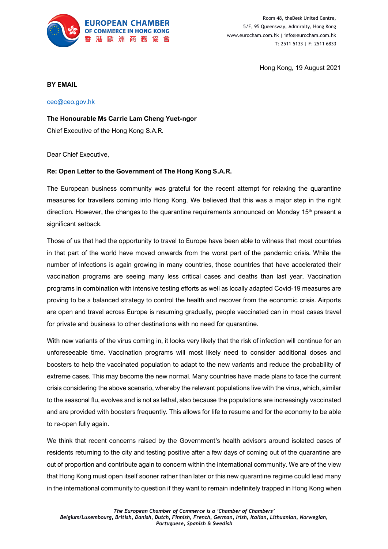

Room 48, theDesk United Centre, 5/F, 95 Queensway, Admiralty, Hong Kong www.eurocham.com.hk | info@eurocham.com.hk T: 2511 5133 | F: 2511 6833

Hong Kong, 19 August 2021

## **BY EMAIL**

[ceo@ceo.gov.hk](mailto:ceo@ceo.gov.hk)

**The Honourable Ms Carrie Lam Cheng Yuet-ngor**

Chief Executive of the Hong Kong S.A.R.

Dear Chief Executive,

## **Re: Open Letter to the Government of The Hong Kong S.A.R.**

The European business community was grateful for the recent attempt for relaxing the quarantine measures for travellers coming into Hong Kong. We believed that this was a major step in the right direction. However, the changes to the quarantine requirements announced on Monday  $15<sup>th</sup>$  present a significant setback.

Those of us that had the opportunity to travel to Europe have been able to witness that most countries in that part of the world have moved onwards from the worst part of the pandemic crisis. While the number of infections is again growing in many countries, those countries that have accelerated their vaccination programs are seeing many less critical cases and deaths than last year. Vaccination programs in combination with intensive testing efforts as well as locally adapted Covid-19 measures are proving to be a balanced strategy to control the health and recover from the economic crisis. Airports are open and travel across Europe is resuming gradually, people vaccinated can in most cases travel for private and business to other destinations with no need for quarantine.

With new variants of the virus coming in, it looks very likely that the risk of infection will continue for an unforeseeable time. Vaccination programs will most likely need to consider additional doses and boosters to help the vaccinated population to adapt to the new variants and reduce the probability of extreme cases. This may become the new normal. Many countries have made plans to face the current crisis considering the above scenario, whereby the relevant populations live with the virus, which, similar to the seasonal flu, evolves and is not as lethal, also because the populations are increasingly vaccinated and are provided with boosters frequently. This allows for life to resume and for the economy to be able to re-open fully again.

We think that recent concerns raised by the Government's health advisors around isolated cases of residents returning to the city and testing positive after a few days of coming out of the quarantine are out of proportion and contribute again to concern within the international community. We are of the view that Hong Kong must open itself sooner rather than later or this new quarantine regime could lead many in the international community to question if they want to remain indefinitely trapped in Hong Kong when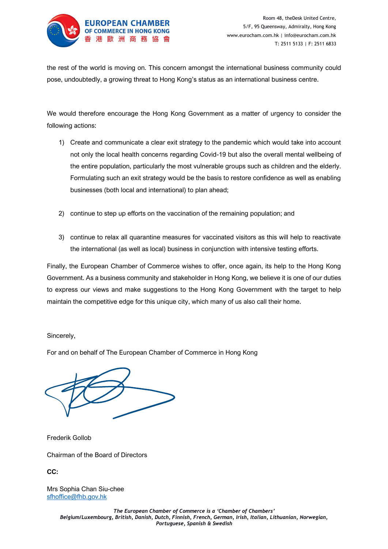

the rest of the world is moving on. This concern amongst the international business community could pose, undoubtedly, a growing threat to Hong Kong's status as an international business centre.

We would therefore encourage the Hong Kong Government as a matter of urgency to consider the following actions:

- 1) Create and communicate a clear exit strategy to the pandemic which would take into account not only the local health concerns regarding Covid-19 but also the overall mental wellbeing of the entire population, particularly the most vulnerable groups such as children and the elderly. Formulating such an exit strategy would be the basis to restore confidence as well as enabling businesses (both local and international) to plan ahead;
- 2) continue to step up efforts on the vaccination of the remaining population; and
- 3) continue to relax all quarantine measures for vaccinated visitors as this will help to reactivate the international (as well as local) business in conjunction with intensive testing efforts.

Finally, the European Chamber of Commerce wishes to offer, once again, its help to the Hong Kong Government. As a business community and stakeholder in Hong Kong, we believe it is one of our duties to express our views and make suggestions to the Hong Kong Government with the target to help maintain the competitive edge for this unique city, which many of us also call their home.

## Sincerely,

For and on behalf of The European Chamber of Commerce in Hong Kong

Frederik Gollob

Chairman of the Board of Directors

**CC:**

Mrs Sophia Chan Siu-chee [sfhoffice@fhb.gov.hk](mailto:sfhoffice@fhb.gov.hk)